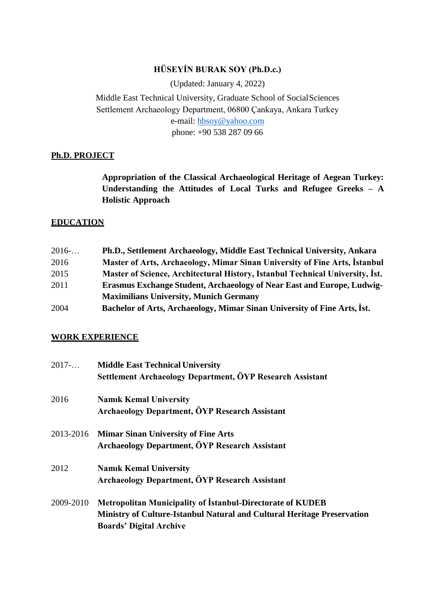# **HÜSEYİN BURAK SOY (Ph.D.c.)**

(Updated: January 4, 2022)

Middle East Technical University, Graduate School of SocialSciences Settlement Archaeology Department, 06800 Çankaya, Ankara Turkey e-mail: [hbsoy@yahoo.com](mailto:hbsoy@yahoo.com) phone: +90 538 287 09 66

## **Ph.D. PROJECT**

**Appropriation of the Classical Archaeological Heritage of Aegean Turkey: Understanding the Attitudes of Local Turks and Refugee Greeks – A Holistic Approach**

### **EDUCATION**

| 2016 | Ph.D., Settlement Archaeology, Middle East Technical University, Ankara       |
|------|-------------------------------------------------------------------------------|
| 2016 | Master of Arts, Archaeology, Mimar Sinan University of Fine Arts, İstanbul    |
| 2015 | Master of Science, Architectural History, Istanbul Technical University, Ist. |
| 2011 | <b>Erasmus Exchange Student, Archaeology of Near East and Europe, Ludwig-</b> |
|      | <b>Maximilians University, Munich Germany</b>                                 |
| 2004 | Bachelor of Arts, Archaeology, Mimar Sinan University of Fine Arts, Ist.      |

#### **WORK EXPERIENCE**

| 2017      | <b>Middle East Technical University</b><br>Settlement Archaeology Department, ÖYP Research Assistant                                                                                  |
|-----------|---------------------------------------------------------------------------------------------------------------------------------------------------------------------------------------|
| 2016      | <b>Namik Kemal University</b><br><b>Archaeology Department, ÖYP Research Assistant</b>                                                                                                |
|           | 2013-2016 Mimar Sinan University of Fine Arts<br>Archaeology Department, ÖYP Research Assistant                                                                                       |
| 2012      | <b>Namik Kemal University</b><br><b>Archaeology Department, ÖYP Research Assistant</b>                                                                                                |
| 2009-2010 | <b>Metropolitan Municipality of Istanbul-Directorate of KUDEB</b><br><b>Ministry of Culture-Istanbul Natural and Cultural Heritage Preservation</b><br><b>Boards' Digital Archive</b> |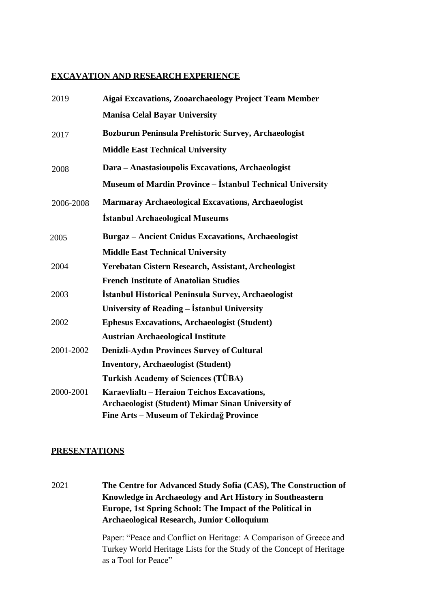#### **EXCAVATION AND RESEARCH EXPERIENCE**

| 2019      | <b>Aigai Excavations, Zooarchaeology Project Team Member</b>     |
|-----------|------------------------------------------------------------------|
|           | <b>Manisa Celal Bayar University</b>                             |
| 2017      | Bozburun Peninsula Prehistoric Survey, Archaeologist             |
|           | <b>Middle East Technical University</b>                          |
| 2008      | Dara - Anastasioupolis Excavations, Archaeologist                |
|           | <b>Museum of Mardin Province - İstanbul Technical University</b> |
| 2006-2008 | <b>Marmaray Archaeological Excavations, Archaeologist</b>        |
|           | <b>İstanbul Archaeological Museums</b>                           |
| 2005      | <b>Burgaz</b> - Ancient Cnidus Excavations, Archaeologist        |
|           | <b>Middle East Technical University</b>                          |
| 2004      | Yerebatan Cistern Research, Assistant, Archeologist              |
|           | <b>French Institute of Anatolian Studies</b>                     |
| 2003      | İstanbul Historical Peninsula Survey, Archaeologist              |
|           | University of Reading - İstanbul University                      |
| 2002      | <b>Ephesus Excavations, Archaeologist (Student)</b>              |
|           | <b>Austrian Archaeological Institute</b>                         |
| 2001-2002 | <b>Denizli-Aydın Provinces Survey of Cultural</b>                |
|           | <b>Inventory, Archaeologist (Student)</b>                        |
|           | <b>Turkish Academy of Sciences (TÜBA)</b>                        |
| 2000-2001 | Karaevlialti - Heraion Teichos Excavations,                      |
|           | <b>Archaeologist (Student) Mimar Sinan University of</b>         |
|           | Fine Arts - Museum of Tekirdağ Province                          |

#### **PRESENTATIONS**

2021 **The Centre for Advanced Study Sofia (CAS), The Construction of Knowledge in Archaeology and Art History in Southeastern Europe, 1st Spring School: The Impact of the Political in Archaeological Research, Junior Colloquium**

> Paper: "Peace and Conflict on Heritage: A Comparison of Greece and Turkey World Heritage Lists for the Study of the Concept of Heritage as a Tool for Peace"